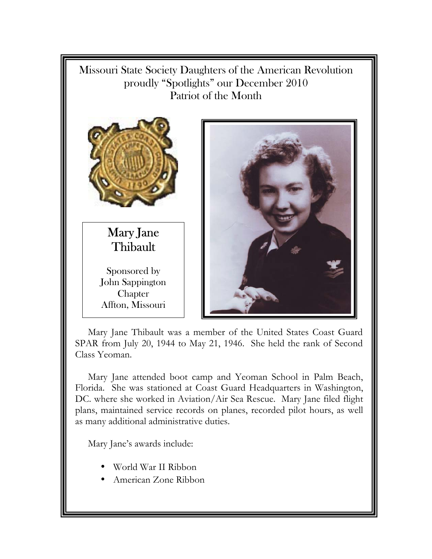Missouri State Society Daughters of the American Revolution proudly "Spotlights" our December 2010 Patriot of the Month



Mary Jane Thibault

Sponsored by John Sappington **Chapter** Affton, Missouri



Mary Jane Thibault was a member of the United States Coast Guard SPAR from July 20, 1944 to May 21, 1946. She held the rank of Second Class Yeoman.

Mary Jane attended boot camp and Yeoman School in Palm Beach, Florida. She was stationed at Coast Guard Headquarters in Washington, DC. where she worked in Aviation/Air Sea Rescue. Mary Jane filed flight plans, maintained service records on planes, recorded pilot hours, as well as many additional administrative duties.

Mary Jane's awards include:

- World War II Ribbon
- American Zone Ribbon